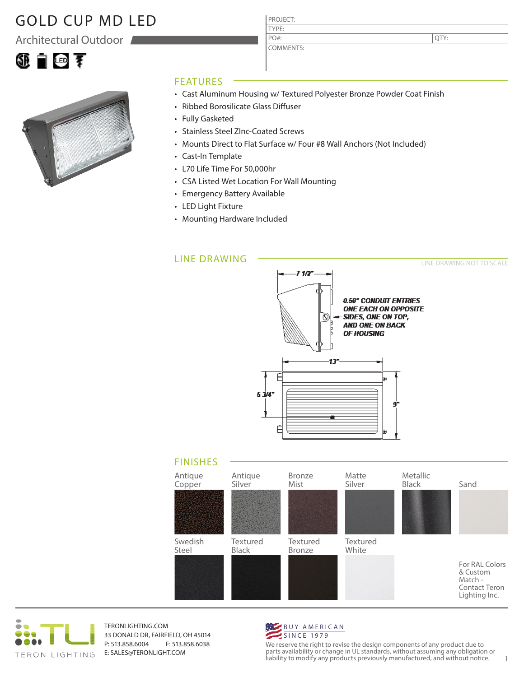## GOLD CUP MD LED

Architectural Outdoor





### FEATURES

- Cast Aluminum Housing w/ Textured Polyester Bronze Powder Coat Finish
- Ribbed Borosilicate Glass Diffuser
- Fully Gasketed
- Stainless Steel ZInc-Coated Screws
- Mounts Direct to Flat Surface w/ Four #8 Wall Anchors (Not Included)

PROJECT: TYPE:

PO#:

COMMENTS:

- Cast-In Template
- L70 Life Time For 50,000hr
- CSA Listed Wet Location For Wall Mounting
- Emergency Battery Available
- LED Light Fixture
- Mounting Hardware Included

#### LINE DRAWING



FINISHES For RAL Colors & Custom Match - Contact Teron Textured Black Antique Copper Textured Bronze Antique Silver Textured White Bronze Mist Matte Silver Metallic Black Sand Swedish Steel



TERONLIGHTING.COM 33 DONALD DR, FAIRFIELD, OH 45014 P: 513.858.6004 F: 513.858.6038 E: SALES@TERONLIGHT.COM



We reserve the right to revise the design components of any product due to parts availability or change in UL standards, without assuming any obligation or liability to modify any products previously manufactured, and without notice. 1

QTY:

Lighting Inc.